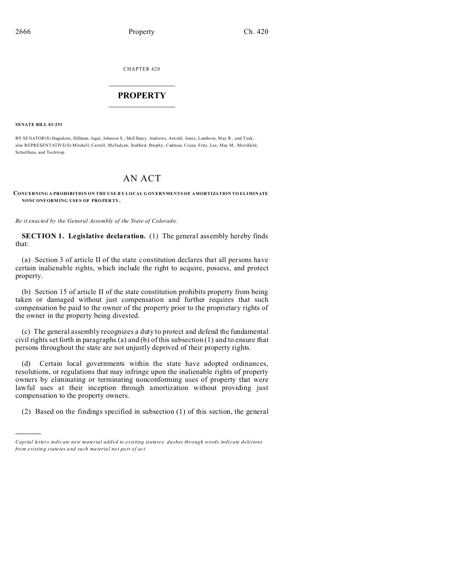CHAPTER 420  $\overline{\phantom{a}}$  , where  $\overline{\phantom{a}}$ 

## **PROPERTY**  $\_$   $\_$   $\_$   $\_$   $\_$   $\_$   $\_$   $\_$   $\_$   $\_$

**SENATE BILL 03-251**

)))))

BY SENATOR(S) Hagedorn, Hillman, Isgar, Johnson S., McElhany, Andrews, Arnold, Jones, Lamborn, May R., and Teck; also REPRESENTATIVE(S) Mitchell, Carroll, McFadyen, Stafford, Brophy, Cadman, Crane, Fritz, Lee, May M., Merrifield, Schultheis, and Tochtrop.

## AN ACT

**CONCERNING A PROHIBITION ON THE USE B Y LOCAL G OVERNMENTS OF AMORTIZATION TO ELIMINATE NONC ONF ORMING USES OF PRO PER TY.**

*Be it enacted by the General Assembly of the State of Colorado:*

**SECTION 1. Legislative declaration.** (1) The general assembly hereby finds that:

(a) Section 3 of article II of the state constitution declares that all persons have certain inalienable rights, which include the right to acquire, possess, and protect property.

(b) Section 15 of article II of the state constitution prohibits property from being taken or damaged without just compensation and further requires that such compensation be paid to the owner of the property prior to the proprietary rights of the owner in the property being divested.

(c) The general assembly recognizes a duty to protect and defend the fundamental civil rights set forth in paragraphs (a) and (b) of this subsection (1) and to ensure that persons throughout the state are not unjustly deprived of their property rights.

(d) Certain local governments within the state have adopted ordinances, resolutions, or regulations that may infringe upon the inalienable rights of property owners by eliminating or terminating nonconforming uses of property that were lawful uses at their inception through amortization without providing just compensation to the property owners.

(2) Based on the findings specified in subsection (1) of this section, the general

*Capital letters indicate new material added to existing statutes; dashes through words indicate deletions from e xistin g statu tes a nd such ma teria l no t pa rt of ac t.*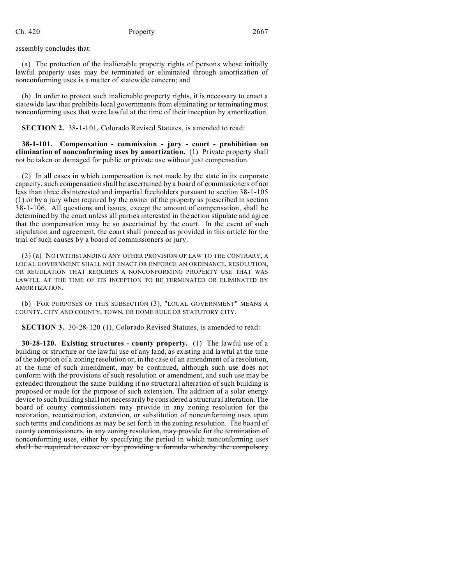assembly concludes that:

(a) The protection of the inalienable property rights of persons whose initially lawful property uses may be terminated or eliminated through amortization of nonconforming uses is a matter of statewide concern; and

(b) In order to protect such inalienable property rights, it is necessary to enact a statewide law that prohibits local governments from eliminating or terminating most nonconforming uses that were lawful at the time of their inception by amortization.

**SECTION 2.** 38-1-101, Colorado Revised Statutes, is amended to read:

**38-1-101. Compensation - commission - jury - court - prohibition on elimination of nonconforming uses by amortization.** (1) Private property shall not be taken or damaged for public or private use without just compensation.

(2) In all cases in which compensation is not made by the state in its corporate capacity, such compensation shall be ascertained by a board of commissioners of not less than three disinterested and impartial freeholders pursuant to section 38-1-105 (1) or by a jury when required by the owner of the property as prescribed in section 38-1-106. All questions and issues, except the amount of compensation, shall be determined by the court unless all parties interested in the action stipulate and agree that the compensation may be so ascertained by the court. In the event of such stipulation and agreement, the court shall proceed as provided in this article for the trial of such causes by a board of commissioners or jury.

(3) (a) NOTWITHSTANDING ANY OTHER PROVISION OF LAW TO THE CONTRARY, A LOCAL GOVERNMENT SHALL NOT ENACT OR ENFORCE AN ORDINANCE, RESOLUTION, OR REGULATION THAT REQUIRES A NONCONFORMING PROPERTY USE THAT WAS LAWFUL AT THE TIME OF ITS INCEPTION TO BE TERMINATED OR ELIMINATED BY AMORTIZATION.

(b) FOR PURPOSES OF THIS SUBSECTION (3), "LOCAL GOVERNMENT" MEANS A COUNTY, CITY AND COUNTY, TOWN, OR HOME RULE OR STATUTORY CITY.

**SECTION 3.** 30-28-120 (1), Colorado Revised Statutes, is amended to read:

**30-28-120. Existing structures - county property.** (1) The lawful use of a building or structure or the lawful use of any land, as existing and lawful at the time of the adoption of a zoning resolution or, in the case of an amendment of a resolution, at the time of such amendment, may be continued, although such use does not conform with the provisions of such resolution or amendment, and such use may be extended throughout the same building if no structural alteration of such building is proposed or made for the purpose of such extension. The addition of a solar energy device to such building shall not necessarily be considered a structural alteration. The board of county commissioners may provide in any zoning resolution for the restoration, reconstruction, extension, or substitution of nonconforming uses upon such terms and conditions as may be set forth in the zoning resolution. The board of county commissioners, in any zoning resolution, may provide for the termination of nonconforming uses, either by specifying the period in which nonconforming uses shall be required to cease or by providing a formula whereby the compulsory